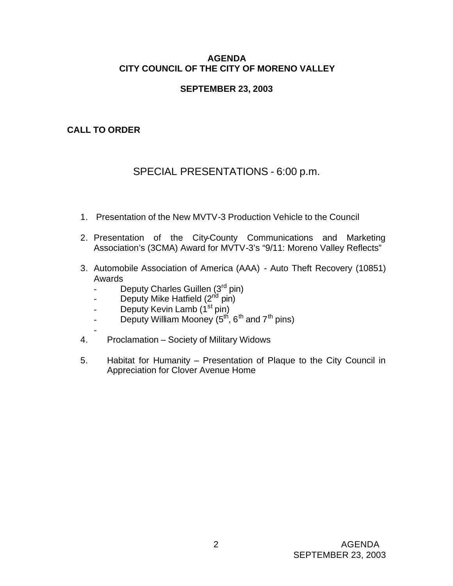#### **AGENDA CITY COUNCIL OF THE CITY OF MORENO VALLEY**

## **SEPTEMBER 23, 2003**

## **CALL TO ORDER**

# SPECIAL PRESENTATIONS - 6:00 p.m.

- 1. Presentation of the New MVTV-3 Production Vehicle to the Council
- 2. Presentation of the City-County Communications and Marketing Association's (3CMA) Award for MVTV-3's "9/11: Moreno Valley Reflects"
- 3. Automobile Association of America (AAA) Auto Theft Recovery (10851) Awards
	- Deputy Charles Guillen (3<sup>rd</sup> pin)
	- Deputy Mike Hatfield  $(2^{nd}$  pin)
	- Deputy Kevin Lamb  $(1<sup>st</sup>pin)$
	- Deputy William Mooney  $(5^{th}, 6^{th}$  and  $7^{th}$  pins)
- 4. Proclamation – Society of Military Widows
- 5. Habitat for Humanity Presentation of Plaque to the City Council in Appreciation for Clover Avenue Home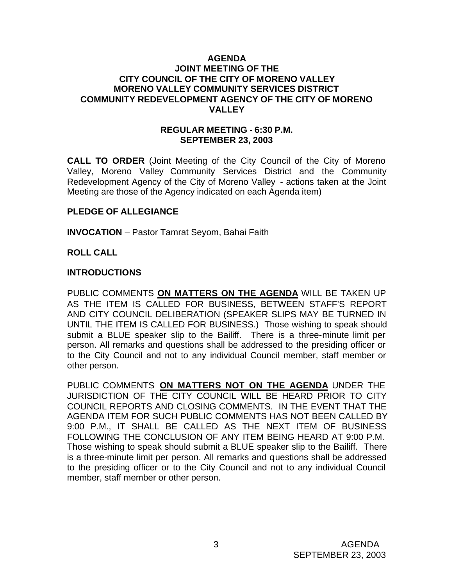#### **AGENDA JOINT MEETING OF THE CITY COUNCIL OF THE CITY OF MORENO VALLEY MORENO VALLEY COMMUNITY SERVICES DISTRICT COMMUNITY REDEVELOPMENT AGENCY OF THE CITY OF MORENO VALLEY**

#### **REGULAR MEETING - 6:30 P.M. SEPTEMBER 23, 2003**

**CALL TO ORDER** (Joint Meeting of the City Council of the City of Moreno Valley, Moreno Valley Community Services District and the Community Redevelopment Agency of the City of Moreno Valley - actions taken at the Joint Meeting are those of the Agency indicated on each Agenda item)

#### **PLEDGE OF ALLEGIANCE**

**INVOCATION** – Pastor Tamrat Seyom, Bahai Faith

#### **ROLL CALL**

#### **INTRODUCTIONS**

PUBLIC COMMENTS **ON MATTERS ON THE AGENDA** WILL BE TAKEN UP AS THE ITEM IS CALLED FOR BUSINESS, BETWEEN STAFF'S REPORT AND CITY COUNCIL DELIBERATION (SPEAKER SLIPS MAY BE TURNED IN UNTIL THE ITEM IS CALLED FOR BUSINESS.) Those wishing to speak should submit a BLUE speaker slip to the Bailiff. There is a three-minute limit per person. All remarks and questions shall be addressed to the presiding officer or to the City Council and not to any individual Council member, staff member or other person.

PUBLIC COMMENTS **ON MATTERS NOT ON THE AGENDA** UNDER THE JURISDICTION OF THE CITY COUNCIL WILL BE HEARD PRIOR TO CITY COUNCIL REPORTS AND CLOSING COMMENTS. IN THE EVENT THAT THE AGENDA ITEM FOR SUCH PUBLIC COMMENTS HAS NOT BEEN CALLED BY 9:00 P.M., IT SHALL BE CALLED AS THE NEXT ITEM OF BUSINESS FOLLOWING THE CONCLUSION OF ANY ITEM BEING HEARD AT 9:00 P.M. Those wishing to speak should submit a BLUE speaker slip to the Bailiff. There is a three-minute limit per person. All remarks and questions shall be addressed to the presiding officer or to the City Council and not to any individual Council member, staff member or other person.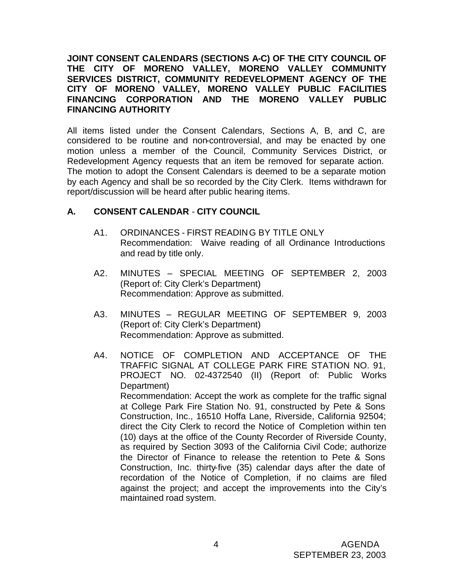**JOINT CONSENT CALENDARS (SECTIONS A-C) OF THE CITY COUNCIL OF THE CITY OF MORENO VALLEY, MORENO VALLEY COMMUNITY SERVICES DISTRICT, COMMUNITY REDEVELOPMENT AGENCY OF THE CITY OF MORENO VALLEY, MORENO VALLEY PUBLIC FACILITIES FINANCING CORPORATION AND THE MORENO VALLEY PUBLIC FINANCING AUTHORITY**

All items listed under the Consent Calendars, Sections A, B, and C, are considered to be routine and non-controversial, and may be enacted by one motion unless a member of the Council, Community Services District, or Redevelopment Agency requests that an item be removed for separate action. The motion to adopt the Consent Calendars is deemed to be a separate motion by each Agency and shall be so recorded by the City Clerk. Items withdrawn for report/discussion will be heard after public hearing items.

## **A. CONSENT CALENDAR** - **CITY COUNCIL**

- A1. ORDINANCES FIRST READING BY TITLE ONLY Recommendation: Waive reading of all Ordinance Introductions and read by title only.
- A2. MINUTES SPECIAL MEETING OF SEPTEMBER 2, 2003 (Report of: City Clerk's Department) Recommendation: Approve as submitted.
- A3. MINUTES REGULAR MEETING OF SEPTEMBER 9, 2003 (Report of: City Clerk's Department) Recommendation: Approve as submitted.
- A4. NOTICE OF COMPLETION AND ACCEPTANCE OF THE TRAFFIC SIGNAL AT COLLEGE PARK FIRE STATION NO. 91, PROJECT NO. 02-4372540 (II) (Report of: Public Works Department) Recommendation: Accept the work as complete for the traffic signal at College Park Fire Station No. 91, constructed by Pete & Sons Construction, Inc., 16510 Hoffa Lane, Riverside, California 92504; direct the City Clerk to record the Notice of Completion within ten (10) days at the office of the County Recorder of Riverside County, as required by Section 3093 of the California Civil Code; authorize the Director of Finance to release the retention to Pete & Sons Construction, Inc. thirty-five (35) calendar days after the date of recordation of the Notice of Completion, if no claims are filed against the project; and accept the improvements into the City's maintained road system.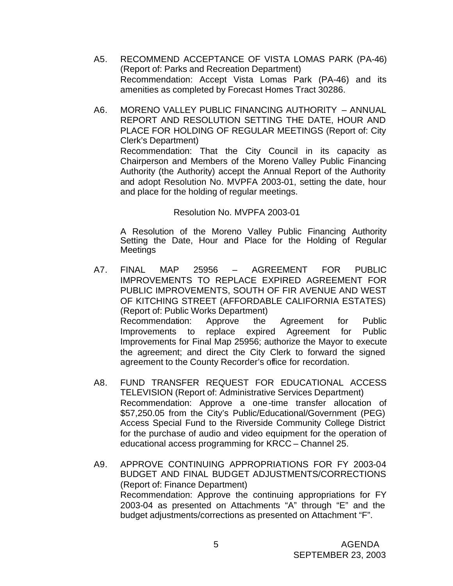- A5. RECOMMEND ACCEPTANCE OF VISTA LOMAS PARK (PA-46) (Report of: Parks and Recreation Department) Recommendation: Accept Vista Lomas Park (PA-46) and its amenities as completed by Forecast Homes Tract 30286.
- A6. MORENO VALLEY PUBLIC FINANCING AUTHORITY ANNUAL REPORT AND RESOLUTION SETTING THE DATE, HOUR AND PLACE FOR HOLDING OF REGULAR MEETINGS (Report of: City Clerk's Department) Recommendation: That the City Council in its capacity as Chairperson and Members of the Moreno Valley Public Financing Authority (the Authority) accept the Annual Report of the Authority and adopt Resolution No. MVPFA 2003-01, setting the date, hour

#### Resolution No. MVPFA 2003-01

and place for the holding of regular meetings.

A Resolution of the Moreno Valley Public Financing Authority Setting the Date, Hour and Place for the Holding of Regular Meetings

- A7. FINAL MAP 25956 AGREEMENT FOR PUBLIC IMPROVEMENTS TO REPLACE EXPIRED AGREEMENT FOR PUBLIC IMPROVEMENTS, SOUTH OF FIR AVENUE AND WEST OF KITCHING STREET (AFFORDABLE CALIFORNIA ESTATES) (Report of: Public Works Department) Recommendation: Approve the Agreement for Public Improvements to replace expired Agreement for Public Improvements for Final Map 25956; authorize the Mayor to execute the agreement; and direct the City Clerk to forward the signed agreement to the County Recorder's office for recordation.
- A8. FUND TRANSFER REQUEST FOR EDUCATIONAL ACCESS TELEVISION (Report of: Administrative Services Department) Recommendation: Approve a one-time transfer allocation of \$57,250.05 from the City's Public/Educational/Government (PEG) Access Special Fund to the Riverside Community College District for the purchase of audio and video equipment for the operation of educational access programming for KRCC – Channel 25.
- A9. APPROVE CONTINUING APPROPRIATIONS FOR FY 2003-04 BUDGET AND FINAL BUDGET ADJUSTMENTS/CORRECTIONS (Report of: Finance Department) Recommendation: Approve the continuing appropriations for FY 2003-04 as presented on Attachments "A" through "E" and the budget adjustments/corrections as presented on Attachment "F".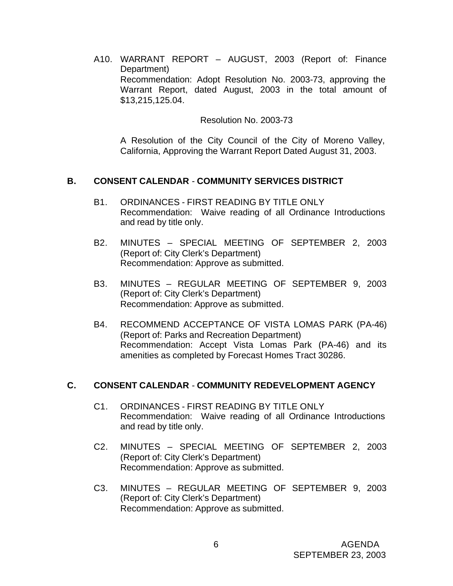A10. WARRANT REPORT – AUGUST, 2003 (Report of: Finance Department) Recommendation: Adopt Resolution No. 2003-73, approving the Warrant Report, dated August, 2003 in the total amount of \$13,215,125.04.

Resolution No. 2003-73

A Resolution of the City Council of the City of Moreno Valley, California, Approving the Warrant Report Dated August 31, 2003.

#### **B. CONSENT CALENDAR** - **COMMUNITY SERVICES DISTRICT**

- B1. ORDINANCES FIRST READING BY TITLE ONLY Recommendation: Waive reading of all Ordinance Introductions and read by title only.
- B2. MINUTES SPECIAL MEETING OF SEPTEMBER 2, 2003 (Report of: City Clerk's Department) Recommendation: Approve as submitted.
- B3. MINUTES REGULAR MEETING OF SEPTEMBER 9, 2003 (Report of: City Clerk's Department) Recommendation: Approve as submitted.
- B4. RECOMMEND ACCEPTANCE OF VISTA LOMAS PARK (PA-46) (Report of: Parks and Recreation Department) Recommendation: Accept Vista Lomas Park (PA-46) and its amenities as completed by Forecast Homes Tract 30286.

#### **C. CONSENT CALENDAR** - **COMMUNITY REDEVELOPMENT AGENCY**

- C1. ORDINANCES FIRST READING BY TITLE ONLY Recommendation: Waive reading of all Ordinance Introductions and read by title only.
- C2. MINUTES SPECIAL MEETING OF SEPTEMBER 2, 2003 (Report of: City Clerk's Department) Recommendation: Approve as submitted.
- C3. MINUTES REGULAR MEETING OF SEPTEMBER 9, 2003 (Report of: City Clerk's Department) Recommendation: Approve as submitted.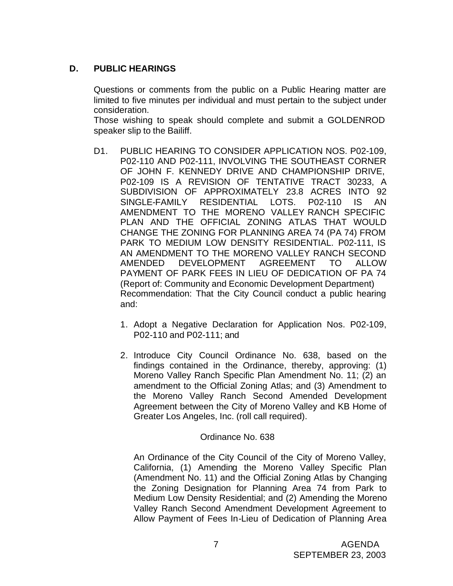## **D. PUBLIC HEARINGS**

Questions or comments from the public on a Public Hearing matter are limited to five minutes per individual and must pertain to the subject under consideration.

Those wishing to speak should complete and submit a GOLDENROD speaker slip to the Bailiff.

- D1. PUBLIC HEARING TO CONSIDER APPLICATION NOS. P02-109, P02-110 AND P02-111, INVOLVING THE SOUTHEAST CORNER OF JOHN F. KENNEDY DRIVE AND CHAMPIONSHIP DRIVE, P02-109 IS A REVISION OF TENTATIVE TRACT 30233, A SUBDIVISION OF APPROXIMATELY 23.8 ACRES INTO 92 SINGLE-FAMILY RESIDENTIAL LOTS. P02-110 IS AN AMENDMENT TO THE MORENO VALLEY RANCH SPECIFIC PLAN AND THE OFFICIAL ZONING ATLAS THAT WOULD CHANGE THE ZONING FOR PLANNING AREA 74 (PA 74) FROM PARK TO MEDIUM LOW DENSITY RESIDENTIAL. P02-111, IS AN AMENDMENT TO THE MORENO VALLEY RANCH SECOND AMENDED DEVELOPMENT AGREEMENT TO ALLOW PAYMENT OF PARK FEES IN LIEU OF DEDICATION OF PA 74 (Report of: Community and Economic Development Department) Recommendation: That the City Council conduct a public hearing and:
	- 1. Adopt a Negative Declaration for Application Nos. P02-109, P02-110 and P02-111; and
	- 2. Introduce City Council Ordinance No. 638, based on the findings contained in the Ordinance, thereby, approving: (1) Moreno Valley Ranch Specific Plan Amendment No. 11; (2) an amendment to the Official Zoning Atlas; and (3) Amendment to the Moreno Valley Ranch Second Amended Development Agreement between the City of Moreno Valley and KB Home of Greater Los Angeles, Inc. (roll call required).

## Ordinance No. 638

An Ordinance of the City Council of the City of Moreno Valley, California, (1) Amending the Moreno Valley Specific Plan (Amendment No. 11) and the Official Zoning Atlas by Changing the Zoning Designation for Planning Area 74 from Park to Medium Low Density Residential; and (2) Amending the Moreno Valley Ranch Second Amendment Development Agreement to Allow Payment of Fees In-Lieu of Dedication of Planning Area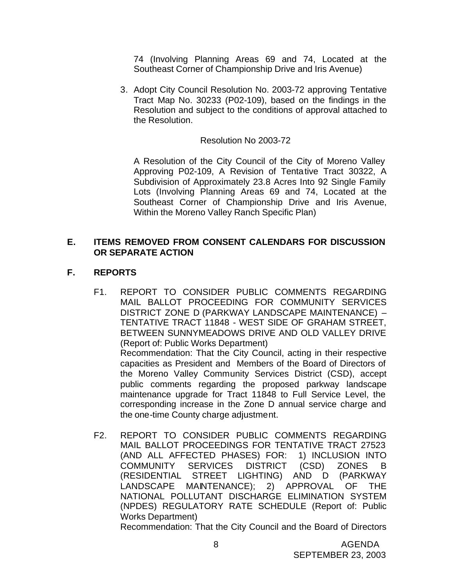74 (Involving Planning Areas 69 and 74, Located at the Southeast Corner of Championship Drive and Iris Avenue)

3. Adopt City Council Resolution No. 2003-72 approving Tentative Tract Map No. 30233 (P02-109), based on the findings in the Resolution and subject to the conditions of approval attached to the Resolution.

## Resolution No 2003-72

A Resolution of the City Council of the City of Moreno Valley Approving P02-109, A Revision of Tentative Tract 30322, A Subdivision of Approximately 23.8 Acres Into 92 Single Family Lots (Involving Planning Areas 69 and 74, Located at the Southeast Corner of Championship Drive and Iris Avenue, Within the Moreno Valley Ranch Specific Plan)

## **E. ITEMS REMOVED FROM CONSENT CALENDARS FOR DISCUSSION OR SEPARATE ACTION**

## **F. REPORTS**

- F1. REPORT TO CONSIDER PUBLIC COMMENTS REGARDING MAIL BALLOT PROCEEDING FOR COMMUNITY SERVICES DISTRICT ZONE D (PARKWAY LANDSCAPE MAINTENANCE) – TENTATIVE TRACT 11848 - WEST SIDE OF GRAHAM STREET, BETWEEN SUNNYMEADOWS DRIVE AND OLD VALLEY DRIVE (Report of: Public Works Department) Recommendation: That the City Council, acting in their respective capacities as President and Members of the Board of Directors of the Moreno Valley Community Services District (CSD), accept public comments regarding the proposed parkway landscape maintenance upgrade for Tract 11848 to Full Service Level, the corresponding increase in the Zone D annual service charge and the one-time County charge adjustment.
- F2. REPORT TO CONSIDER PUBLIC COMMENTS REGARDING MAIL BALLOT PROCEEDINGS FOR TENTATIVE TRACT 27523 (AND ALL AFFECTED PHASES) FOR: 1) INCLUSION INTO COMMUNITY SERVICES DISTRICT (CSD) ZONES B (RESIDENTIAL STREET LIGHTING) AND D (PARKWAY LANDSCAPE MAINTENANCE); 2) APPROVAL OF THE NATIONAL POLLUTANT DISCHARGE ELIMINATION SYSTEM (NPDES) REGULATORY RATE SCHEDULE (Report of: Public Works Department)

Recommendation: That the City Council and the Board of Directors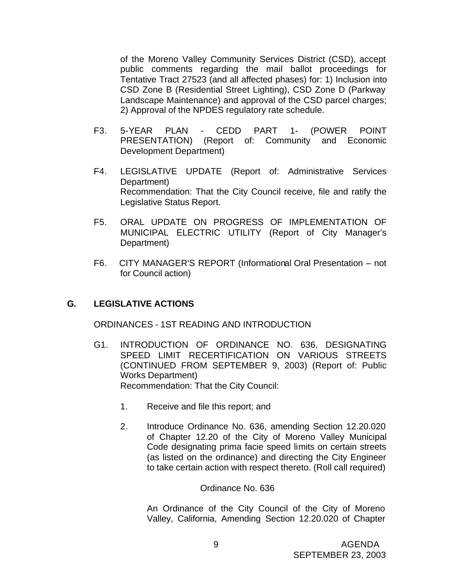of the Moreno Valley Community Services District (CSD), accept public comments regarding the mail ballot proceedings for Tentative Tract 27523 (and all affected phases) for: 1) Inclusion into CSD Zone B (Residential Street Lighting), CSD Zone D (Parkway Landscape Maintenance) and approval of the CSD parcel charges; 2) Approval of the NPDES regulatory rate schedule.

- F3. 5-YEAR PLAN CEDD PART 1- (POWER POINT PRESENTATION) (Report of: Community and Economic Development Department)
- F4. LEGISLATIVE UPDATE (Report of: Administrative Services Department) Recommendation: That the City Council receive, file and ratify the Legislative Status Report.
- F5. ORAL UPDATE ON PROGRESS OF IMPLEMENTATION OF MUNICIPAL ELECTRIC UTILITY (Report of City Manager's Department)
- F6. CITY MANAGER'S REPORT (Informational Oral Presentation not for Council action)

#### **G. LEGISLATIVE ACTIONS**

ORDINANCES - 1ST READING AND INTRODUCTION

- G1. INTRODUCTION OF ORDINANCE NO. 636, DESIGNATING SPEED LIMIT RECERTIFICATION ON VARIOUS STREETS (CONTINUED FROM SEPTEMBER 9, 2003) (Report of: Public Works Department) Recommendation: That the City Council:
	- 1. Receive and file this report; and
	- 2. Introduce Ordinance No. 636, amending Section 12.20.020 of Chapter 12.20 of the City of Moreno Valley Municipal Code designating prima facie speed limits on certain streets (as listed on the ordinance) and directing the City Engineer to take certain action with respect thereto. (Roll call required)

#### Ordinance No. 636

An Ordinance of the City Council of the City of Moreno Valley, California, Amending Section 12.20.020 of Chapter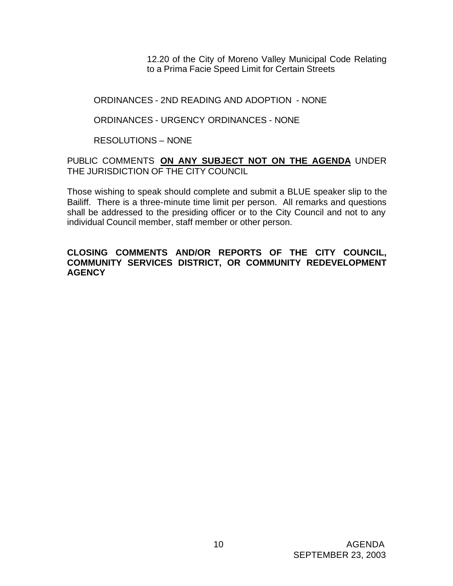12.20 of the City of Moreno Valley Municipal Code Relating to a Prima Facie Speed Limit for Certain Streets

## ORDINANCES - 2ND READING AND ADOPTION - NONE

## ORDINANCES - URGENCY ORDINANCES - NONE

## RESOLUTIONS – NONE

## PUBLIC COMMENTS **ON ANY SUBJECT NOT ON THE AGENDA** UNDER THE JURISDICTION OF THE CITY COUNCIL

Those wishing to speak should complete and submit a BLUE speaker slip to the Bailiff. There is a three-minute time limit per person. All remarks and questions shall be addressed to the presiding officer or to the City Council and not to any individual Council member, staff member or other person.

#### **CLOSING COMMENTS AND/OR REPORTS OF THE CITY COUNCIL, COMMUNITY SERVICES DISTRICT, OR COMMUNITY REDEVELOPMENT AGENCY**